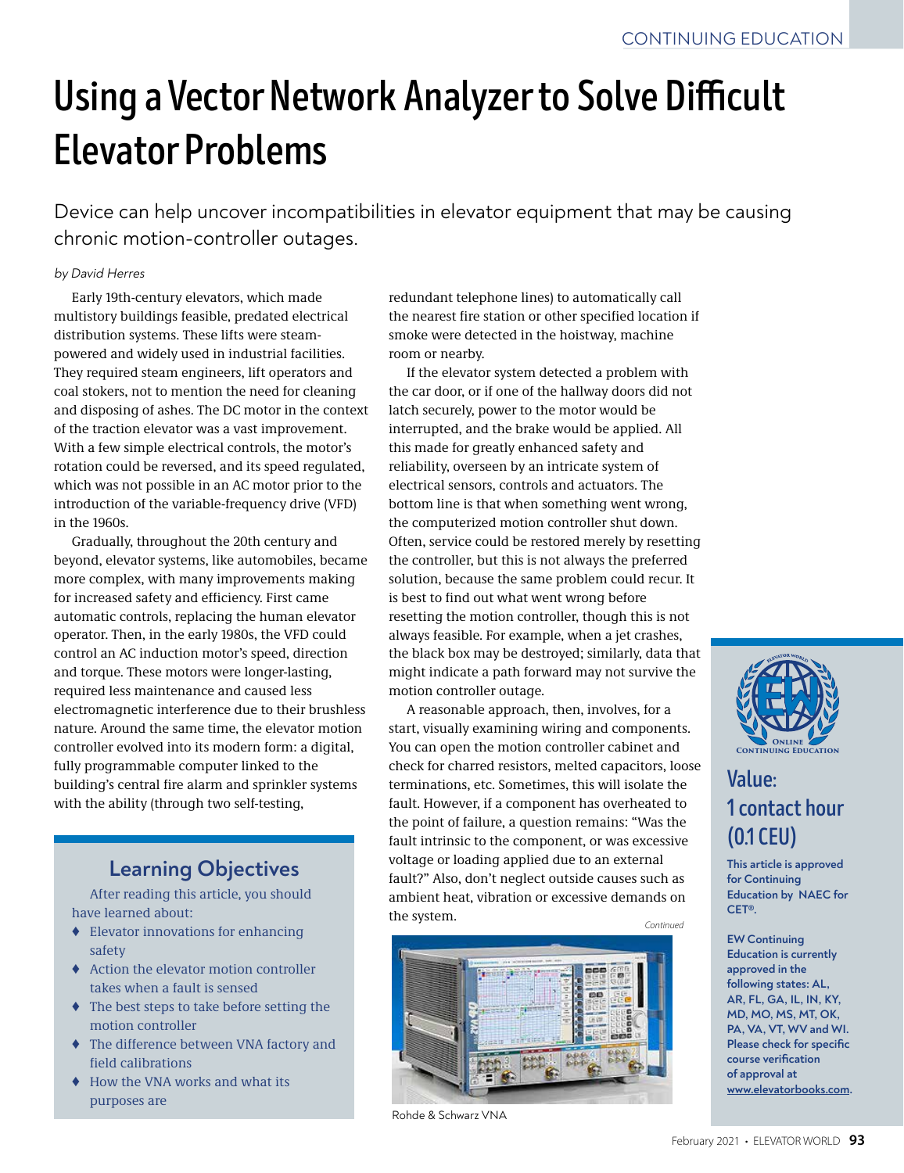# **Using a Vector Network Analyzer to Solve Difficult Elevator Problems**

Device can help uncover incompatibilities in elevator equipment that may be causing chronic motion-controller outages.

#### by David Herres

Early 19th-century elevators, which made multistory buildings feasible, predated electrical distribution systems. These lifts were steampowered and widely used in industrial facilities. They required steam engineers, lift operators and coal stokers, not to mention the need for cleaning and disposing of ashes. The DC motor in the context of the traction elevator was a vast improvement. With a few simple electrical controls, the motor's rotation could be reversed, and its speed regulated, which was not possible in an AC motor prior to the introduction of the variable-frequency drive (VFD) in the 1960s.

Gradually, throughout the 20th century and beyond, elevator systems, like automobiles, became more complex, with many improvements making for increased safety and efficiency. First came automatic controls, replacing the human elevator operator. Then, in the early 1980s, the VFD could control an AC induction motor's speed, direction and torque. These motors were longer-lasting, required less maintenance and caused less electromagnetic interference due to their brushless nature. Around the same time, the elevator motion controller evolved into its modern form: a digital, fully programmable computer linked to the building's central fire alarm and sprinkler systems with the ability (through two self-testing,

# **Learning Objectives**

After reading this article, you should have learned about:

- ♦ Elevator innovations for enhancing safety
- ♦ Action the elevator motion controller takes when a fault is sensed
- ♦ The best steps to take before setting the motion controller
- ♦ The difference between VNA factory and field calibrations
- ♦ How the VNA works and what its purposes are

redundant telephone lines) to automatically call the nearest fire station or other specified location if smoke were detected in the hoistway, machine room or nearby.

If the elevator system detected a problem with the car door, or if one of the hallway doors did not latch securely, power to the motor would be interrupted, and the brake would be applied. All this made for greatly enhanced safety and reliability, overseen by an intricate system of electrical sensors, controls and actuators. The bottom line is that when something went wrong, the computerized motion controller shut down. Often, service could be restored merely by resetting the controller, but this is not always the preferred solution, because the same problem could recur. It is best to find out what went wrong before resetting the motion controller, though this is not always feasible. For example, when a jet crashes, the black box may be destroyed; similarly, data that might indicate a path forward may not survive the motion controller outage.

A reasonable approach, then, involves, for a start, visually examining wiring and components. You can open the motion controller cabinet and check for charred resistors, melted capacitors, loose terminations, etc. Sometimes, this will isolate the fault. However, if a component has overheated to the point of failure, a question remains: "Was the fault intrinsic to the component, or was excessive voltage or loading applied due to an external fault?" Also, don't neglect outside causes such as ambient heat, vibration or excessive demands on the system. *Continued*



Rohde & Schwarz VNA



# **Value: 1 contact hour (0.1 CEU)**

**This article is approved for Continuing Education by NAEC for CET®.**

**EW Continuing Education is currently approved in the following states: AL, AR, FL, GA, IL, IN, KY, MD, MO, MS, MT, OK, PA, VA, VT, WV and WI. Please check for specific course verification of approval at www.elevatorbooks.com.**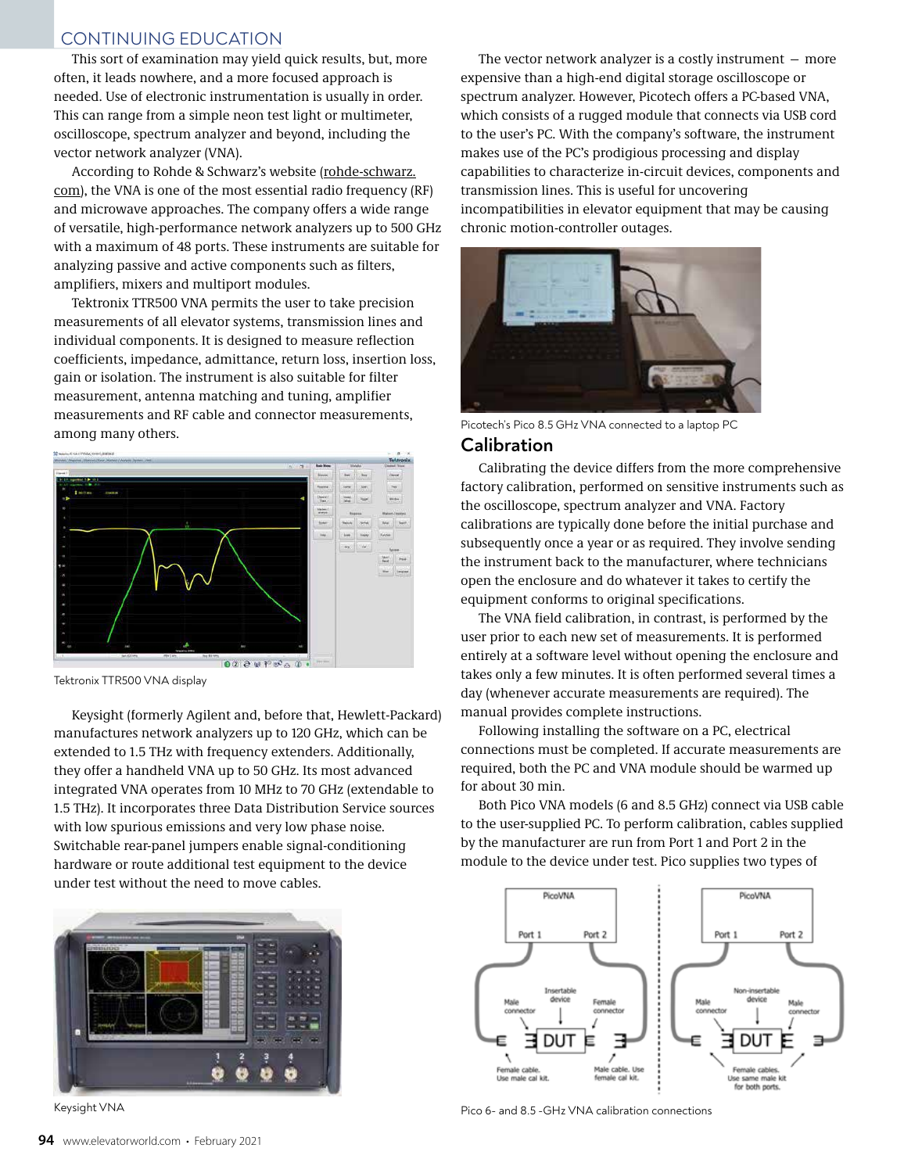## CONTINUING EDUCATION

This sort of examination may yield quick results, but, more often, it leads nowhere, and a more focused approach is needed. Use of electronic instrumentation is usually in order. This can range from a simple neon test light or multimeter, oscilloscope, spectrum analyzer and beyond, including the vector network analyzer (VNA).

According to Rohde & Schwarz's website (rohde-schwarz. com), the VNA is one of the most essential radio frequency (RF) and microwave approaches. The company offers a wide range of versatile, high-performance network analyzers up to 500 GHz with a maximum of 48 ports. These instruments are suitable for analyzing passive and active components such as filters, amplifiers, mixers and multiport modules.

Tektronix TTR500 VNA permits the user to take precision measurements of all elevator systems, transmission lines and individual components. It is designed to measure reflection coefficients, impedance, admittance, return loss, insertion loss, gain or isolation. The instrument is also suitable for filter measurement, antenna matching and tuning, amplifier measurements and RF cable and connector measurements, among many others.



Tektronix TTR500 VNA display

Keysight (formerly Agilent and, before that, Hewlett-Packard) manufactures network analyzers up to 120 GHz, which can be extended to 1.5 THz with frequency extenders. Additionally, they offer a handheld VNA up to 50 GHz. Its most advanced integrated VNA operates from 10 MHz to 70 GHz (extendable to 1.5 THz). It incorporates three Data Distribution Service sources with low spurious emissions and very low phase noise. Switchable rear-panel jumpers enable signal-conditioning hardware or route additional test equipment to the device under test without the need to move cables.



Keysight VNA

The vector network analyzer is a costly instrument — more expensive than a high-end digital storage oscilloscope or spectrum analyzer. However, Picotech offers a PC-based VNA, which consists of a rugged module that connects via USB cord to the user's PC. With the company's software, the instrument makes use of the PC's prodigious processing and display capabilities to characterize in-circuit devices, components and transmission lines. This is useful for uncovering incompatibilities in elevator equipment that may be causing chronic motion-controller outages.



Picotech's Pico 8.5 GHz VNA connected to a laptop PC

#### **Calibration**

Calibrating the device differs from the more comprehensive factory calibration, performed on sensitive instruments such as the oscilloscope, spectrum analyzer and VNA. Factory calibrations are typically done before the initial purchase and subsequently once a year or as required. They involve sending the instrument back to the manufacturer, where technicians open the enclosure and do whatever it takes to certify the equipment conforms to original specifications.

The VNA field calibration, in contrast, is performed by the user prior to each new set of measurements. It is performed entirely at a software level without opening the enclosure and takes only a few minutes. It is often performed several times a day (whenever accurate measurements are required). The manual provides complete instructions.

Following installing the software on a PC, electrical connections must be completed. If accurate measurements are required, both the PC and VNA module should be warmed up for about 30 min.

Both Pico VNA models (6 and 8.5 GHz) connect via USB cable to the user-supplied PC. To perform calibration, cables supplied by the manufacturer are run from Port 1 and Port 2 in the module to the device under test. Pico supplies two types of



Pico 6- and 8.5 -GHz VNA calibration connections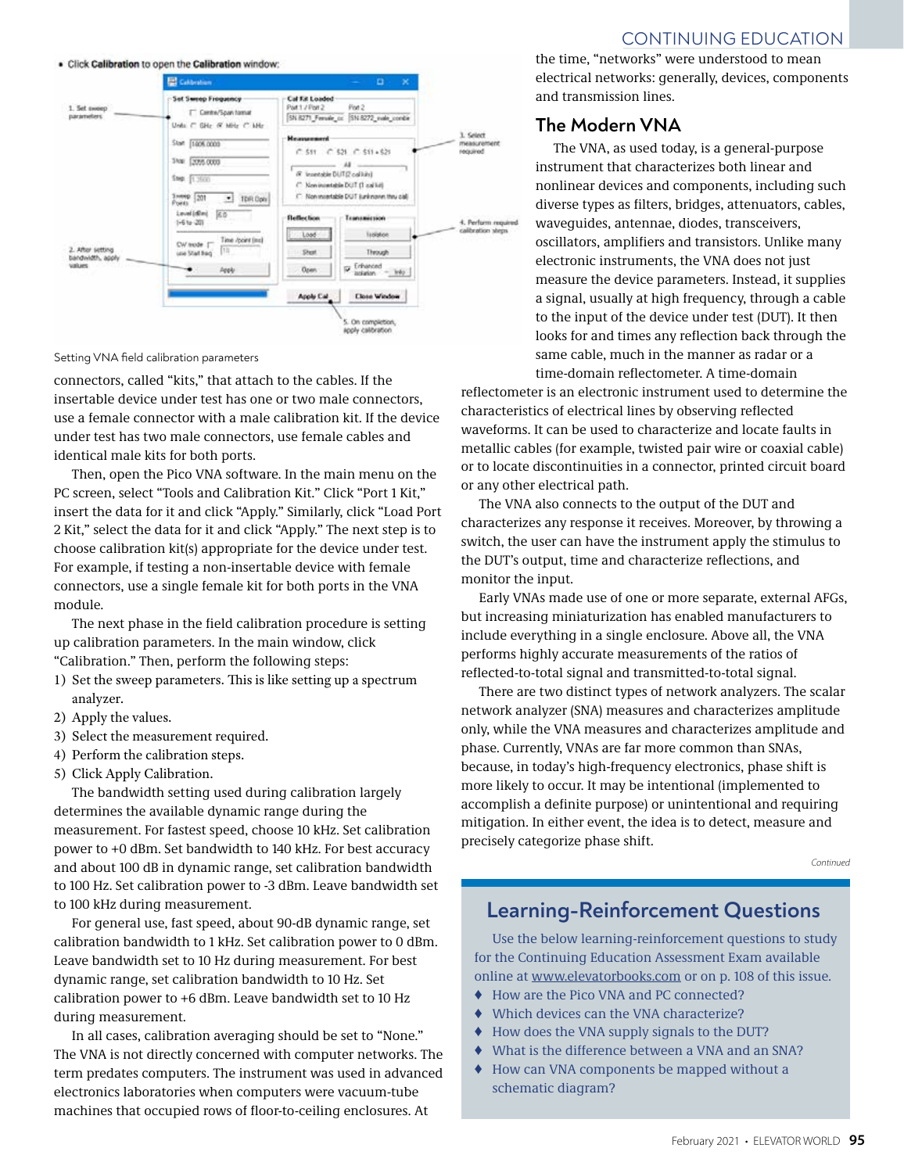

Setting VNA field calibration parameters

connectors, called "kits," that attach to the cables. If the insertable device under test has one or two male connectors, use a female connector with a male calibration kit. If the device under test has two male connectors, use female cables and identical male kits for both ports.

Then, open the Pico VNA software. In the main menu on the PC screen, select "Tools and Calibration Kit." Click "Port 1 Kit," insert the data for it and click "Apply." Similarly, click "Load Port 2 Kit," select the data for it and click "Apply." The next step is to choose calibration kit(s) appropriate for the device under test. For example, if testing a non-insertable device with female connectors, use a single female kit for both ports in the VNA module.

The next phase in the field calibration procedure is setting up calibration parameters. In the main window, click "Calibration." Then, perform the following steps:

- 1) Set the sweep parameters. This is like setting up a spectrum analyzer.
- 2) Apply the values.
- 3) Select the measurement required.
- 4) Perform the calibration steps.
- 5) Click Apply Calibration.

The bandwidth setting used during calibration largely determines the available dynamic range during the measurement. For fastest speed, choose 10 kHz. Set calibration power to +0 dBm. Set bandwidth to 140 kHz. For best accuracy and about 100 dB in dynamic range, set calibration bandwidth to 100 Hz. Set calibration power to -3 dBm. Leave bandwidth set to 100 kHz during measurement.

For general use, fast speed, about 90-dB dynamic range, set calibration bandwidth to 1 kHz. Set calibration power to 0 dBm. Leave bandwidth set to 10 Hz during measurement. For best dynamic range, set calibration bandwidth to 10 Hz. Set calibration power to +6 dBm. Leave bandwidth set to 10 Hz during measurement.

In all cases, calibration averaging should be set to "None." The VNA is not directly concerned with computer networks. The term predates computers. The instrument was used in advanced electronics laboratories when computers were vacuum-tube machines that occupied rows of floor-to-ceiling enclosures. At

## CONTINUING EDUCATION

the time, "networks" were understood to mean electrical networks: generally, devices, components and transmission lines.

## **The Modern VNA**

The VNA, as used today, is a general-purpose instrument that characterizes both linear and nonlinear devices and components, including such diverse types as filters, bridges, attenuators, cables, waveguides, antennae, diodes, transceivers, oscillators, amplifiers and transistors. Unlike many electronic instruments, the VNA does not just measure the device parameters. Instead, it supplies a signal, usually at high frequency, through a cable to the input of the device under test (DUT). It then looks for and times any reflection back through the same cable, much in the manner as radar or a time-domain reflectometer. A time-domain

reflectometer is an electronic instrument used to determine the characteristics of electrical lines by observing reflected waveforms. It can be used to characterize and locate faults in metallic cables (for example, twisted pair wire or coaxial cable) or to locate discontinuities in a connector, printed circuit board or any other electrical path.

The VNA also connects to the output of the DUT and characterizes any response it receives. Moreover, by throwing a switch, the user can have the instrument apply the stimulus to the DUT's output, time and characterize reflections, and monitor the input.

Early VNAs made use of one or more separate, external AFGs, but increasing miniaturization has enabled manufacturers to include everything in a single enclosure. Above all, the VNA performs highly accurate measurements of the ratios of reflected-to-total signal and transmitted-to-total signal.

There are two distinct types of network analyzers. The scalar network analyzer (SNA) measures and characterizes amplitude only, while the VNA measures and characterizes amplitude and phase. Currently, VNAs are far more common than SNAs, because, in today's high-frequency electronics, phase shift is more likely to occur. It may be intentional (implemented to accomplish a definite purpose) or unintentional and requiring mitigation. In either event, the idea is to detect, measure and precisely categorize phase shift.

*Continued*

## **Learning-Reinforcement Questions**

Use the below learning-reinforcement questions to study for the Continuing Education Assessment Exam available online at www.elevatorbooks.com or on p. 108 of this issue.

- ♦ How are the Pico VNA and PC connected?
- ♦ Which devices can the VNA characterize?
- ♦ How does the VNA supply signals to the DUT?
- What is the difference between a VNA and an SNA?
- ♦ How can VNA components be mapped without a schematic diagram?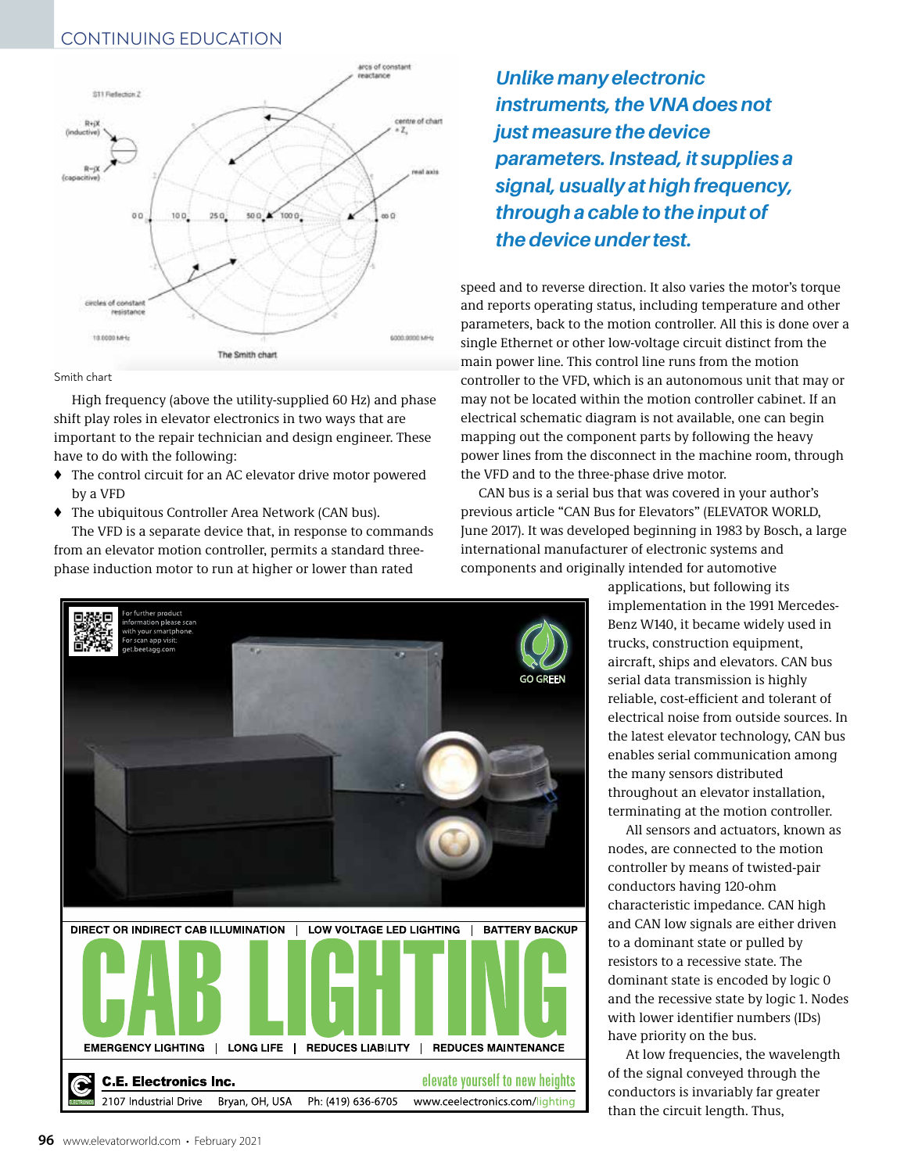# CONTINUING EDUCATION



#### Smith chart

High frequency (above the utility-supplied 60 Hz) and phase shift play roles in elevator electronics in two ways that are important to the repair technician and design engineer. These have to do with the following:

- ♦ The control circuit for an AC elevator drive motor powered by a VFD
- ♦ The ubiquitous Controller Area Network (CAN bus).

The VFD is a separate device that, in response to commands from an elevator motion controller, permits a standard threephase induction motor to run at higher or lower than rated



*Unlike many electronic instruments, the VNA does not just measure the device parameters. Instead, it supplies a signal, usually at high frequency, through a cable to the input of the device under test.*

speed and to reverse direction. It also varies the motor's torque and reports operating status, including temperature and other parameters, back to the motion controller. All this is done over a single Ethernet or other low-voltage circuit distinct from the main power line. This control line runs from the motion controller to the VFD, which is an autonomous unit that may or may not be located within the motion controller cabinet. If an electrical schematic diagram is not available, one can begin mapping out the component parts by following the heavy power lines from the disconnect in the machine room, through the VFD and to the three-phase drive motor.

CAN bus is a serial bus that was covered in your author's previous article "CAN Bus for Elevators" (ELEVATOR WORLD, June 2017). It was developed beginning in 1983 by Bosch, a large international manufacturer of electronic systems and components and originally intended for automotive

> applications, but following its implementation in the 1991 Mercedes-Benz W140, it became widely used in trucks, construction equipment, aircraft, ships and elevators. CAN bus serial data transmission is highly reliable, cost-efficient and tolerant of electrical noise from outside sources. In the latest elevator technology, CAN bus enables serial communication among the many sensors distributed throughout an elevator installation, terminating at the motion controller.

> All sensors and actuators, known as nodes, are connected to the motion controller by means of twisted-pair conductors having 120-ohm characteristic impedance. CAN high and CAN low signals are either driven to a dominant state or pulled by resistors to a recessive state. The dominant state is encoded by logic 0 and the recessive state by logic 1. Nodes with lower identifier numbers (IDs) have priority on the bus.

At low frequencies, the wavelength of the signal conveyed through the conductors is invariably far greater than the circuit length. Thus,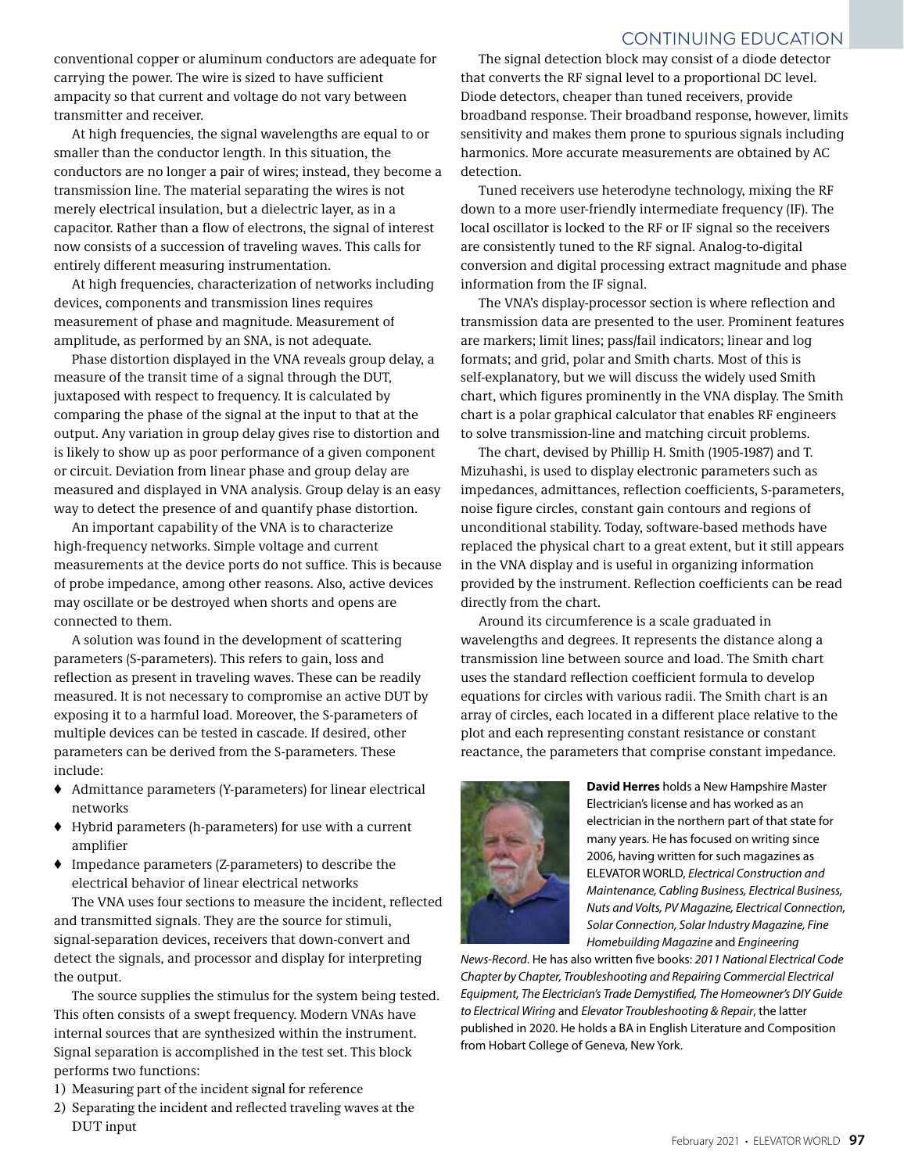### CONTINUING EDUCATION

conventional copper or aluminum conductors are adequate for carrying the power. The wire is sized to have sufficient ampacity so that current and voltage do not vary between transmitter and receiver.

At high frequencies, the signal wavelengths are equal to or smaller than the conductor length. In this situation, the conductors are no longer a pair of wires; instead, they become a transmission line. The material separating the wires is not merely electrical insulation, but a dielectric layer, as in a capacitor. Rather than a flow of electrons, the signal of interest now consists of a succession of traveling waves. This calls for entirely different measuring instrumentation.

At high frequencies, characterization of networks including devices, components and transmission lines requires measurement of phase and magnitude. Measurement of amplitude, as performed by an SNA, is not adequate.

Phase distortion displayed in the VNA reveals group delay, a measure of the transit time of a signal through the DUT, juxtaposed with respect to frequency. It is calculated by comparing the phase of the signal at the input to that at the output. Any variation in group delay gives rise to distortion and is likely to show up as poor performance of a given component or circuit. Deviation from linear phase and group delay are measured and displayed in VNA analysis. Group delay is an easy way to detect the presence of and quantify phase distortion.

An important capability of the VNA is to characterize high-frequency networks. Simple voltage and current measurements at the device ports do not suffice. This is because of probe impedance, among other reasons. Also, active devices may oscillate or be destroyed when shorts and opens are connected to them.

A solution was found in the development of scattering parameters (S-parameters). This refers to gain, loss and reflection as present in traveling waves. These can be readily measured. It is not necessary to compromise an active DUT by exposing it to a harmful load. Moreover, the S-parameters of multiple devices can be tested in cascade. If desired, other parameters can be derived from the S-parameters. These include:

- ♦ Admittance parameters (Y-parameters) for linear electrical networks
- ♦ Hybrid parameters (h-parameters) for use with a current amplifier
- ♦ Impedance parameters (Z-parameters) to describe the electrical behavior of linear electrical networks

The VNA uses four sections to measure the incident, reflected and transmitted signals. They are the source for stimuli, signal-separation devices, receivers that down-convert and detect the signals, and processor and display for interpreting the output.

The source supplies the stimulus for the system being tested. This often consists of a swept frequency. Modern VNAs have internal sources that are synthesized within the instrument. Signal separation is accomplished in the test set. This block performs two functions:

- 1) Measuring part of the incident signal for reference
- 2) Separating the incident and reflected traveling waves at the DUT input

The signal detection block may consist of a diode detector that converts the RF signal level to a proportional DC level. Diode detectors, cheaper than tuned receivers, provide broadband response. Their broadband response, however, limits sensitivity and makes them prone to spurious signals including harmonics. More accurate measurements are obtained by AC detection.

Tuned receivers use heterodyne technology, mixing the RF down to a more user-friendly intermediate frequency (IF). The local oscillator is locked to the RF or IF signal so the receivers are consistently tuned to the RF signal. Analog-to-digital conversion and digital processing extract magnitude and phase information from the IF signal.

The VNA's display-processor section is where reflection and transmission data are presented to the user. Prominent features are markers; limit lines; pass/fail indicators; linear and log formats; and grid, polar and Smith charts. Most of this is self-explanatory, but we will discuss the widely used Smith chart, which figures prominently in the VNA display. The Smith chart is a polar graphical calculator that enables RF engineers to solve transmission-line and matching circuit problems.

The chart, devised by Phillip H. Smith (1905-1987) and T. Mizuhashi, is used to display electronic parameters such as impedances, admittances, reflection coefficients, S-parameters, noise figure circles, constant gain contours and regions of unconditional stability. Today, software-based methods have replaced the physical chart to a great extent, but it still appears in the VNA display and is useful in organizing information provided by the instrument. Reflection coefficients can be read directly from the chart.

Around its circumference is a scale graduated in wavelengths and degrees. It represents the distance along a transmission line between source and load. The Smith chart uses the standard reflection coefficient formula to develop equations for circles with various radii. The Smith chart is an array of circles, each located in a different place relative to the plot and each representing constant resistance or constant reactance, the parameters that comprise constant impedance.



**David Herres** holds a New Hampshire Master Electrician's license and has worked as an electrician in the northern part of that state for many years. He has focused on writing since 2006, having written for such magazines as ELEVATOR WORLD, *Electrical Construction and Maintenance, Cabling Business, Electrical Business, Nuts and Volts, PV Magazine, Electrical Connection, Solar Connection, Solar Industry Magazine, Fine Homebuilding Magazine* and *Engineering* 

*News-Record*. He has also written five books: *2011 National Electrical Code Chapter by Chapter, Troubleshooting and Repairing Commercial Electrical Equipment, The Electrician's Trade Demystified, The Homeowner's DIY Guide to Electrical Wiring* and *Elevator Troubleshooting & Repair*, the latter published in 2020. He holds a BA in English Literature and Composition from Hobart College of Geneva, New York.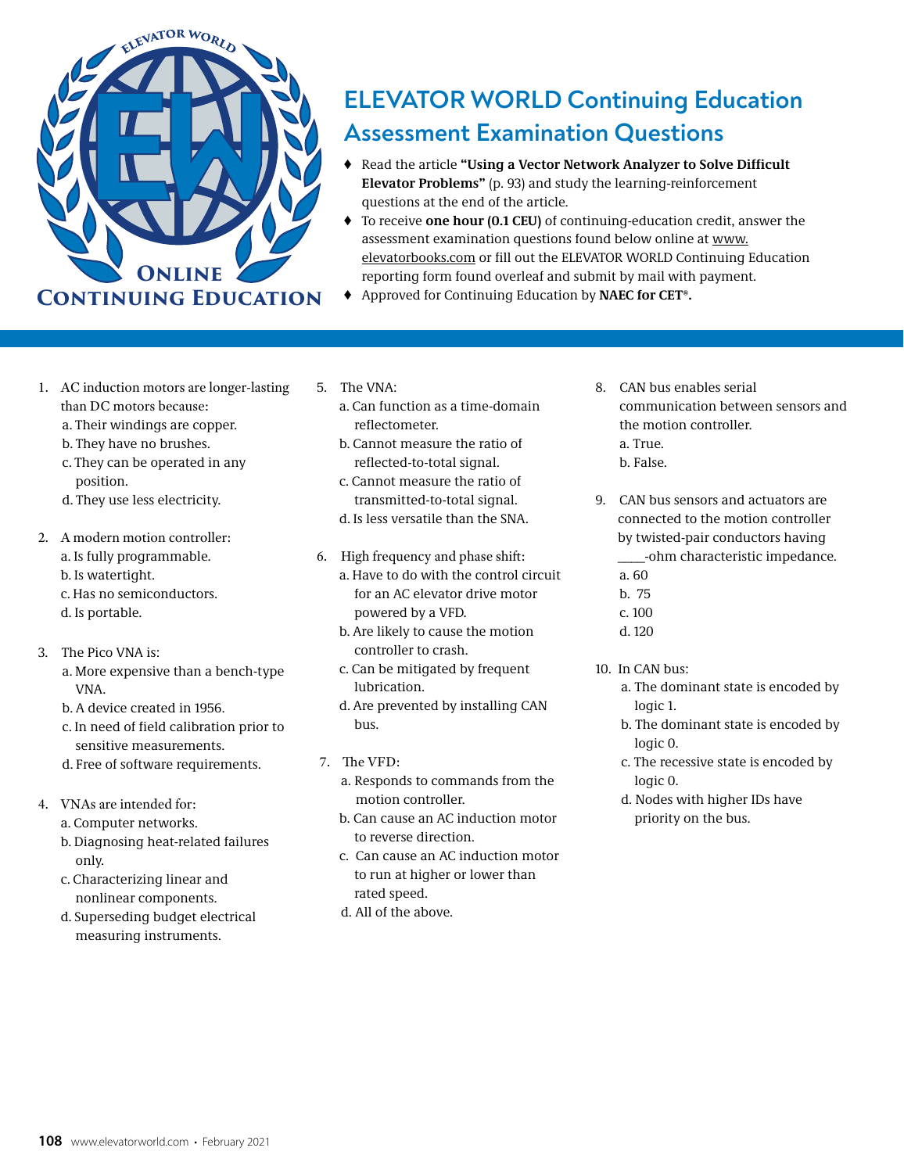

# **ELEVATOR WORLD Continuing Education Assessment Examination Questions**

- ♦ Read the article **"Using a Vector Network Analyzer to Solve Difficult Elevator Problems"** (p. 93) and study the learning-reinforcement questions at the end of the article.
- ♦ To receive **one hour (0.1 CEU)** of continuing-education credit, answer the assessment examination questions found below online at www. elevatorbooks.com or fill out the ELEVATOR WORLD Continuing Education reporting form found overleaf and submit by mail with payment.
- ♦ Approved for Continuing Education by **NAEC for CET®.**
- 1. AC induction motors are longer-lasting than DC motors because:
	- a. Their windings are copper.
	- b. They have no brushes.
	- c. They can be operated in any position.
	- d. They use less electricity.
- 2. A modern motion controller: a. Is fully programmable.
	- b. Is watertight.
	- c. Has no semiconductors.
	- d. Is portable.
- 3. The Pico VNA is:
	- a. More expensive than a bench-type VNA.
	- b. A device created in 1956.
	- c. In need of field calibration prior to sensitive measurements.
	- d. Free of software requirements.
- 4. VNAs are intended for:
	- a. Computer networks.
	- b. Diagnosing heat-related failures only.
	- c. Characterizing linear and nonlinear components.
	- d. Superseding budget electrical measuring instruments.
- 5. The VNA:
	- a. Can function as a time-domain reflectometer.
	- b. Cannot measure the ratio of reflected-to-total signal.
	- c. Cannot measure the ratio of transmitted-to-total signal.
	- d. Is less versatile than the SNA.
- 6. High frequency and phase shift:
	- a. Have to do with the control circuit for an AC elevator drive motor powered by a VFD.
	- b. Are likely to cause the motion controller to crash.
	- c. Can be mitigated by frequent lubrication.
	- d. Are prevented by installing CAN bus.
- 7. The VFD:
	- a. Responds to commands from the motion controller.
	- b. Can cause an AC induction motor to reverse direction.
	- c. Can cause an AC induction motor to run at higher or lower than rated speed.
	- d. All of the above.
- 8. CAN bus enables serial communication between sensors and the motion controller. a. True. b. False.
- 9. CAN bus sensors and actuators are connected to the motion controller by twisted-pair conductors having \_\_\_\_-ohm characteristic impedance. a. 60
	-
	- b. 75 c. 100
	- d. 120
- 10. In CAN bus:
	- a. The dominant state is encoded by logic 1.
	- b. The dominant state is encoded by logic 0.
	- c. The recessive state is encoded by logic 0.
	- d. Nodes with higher IDs have priority on the bus.